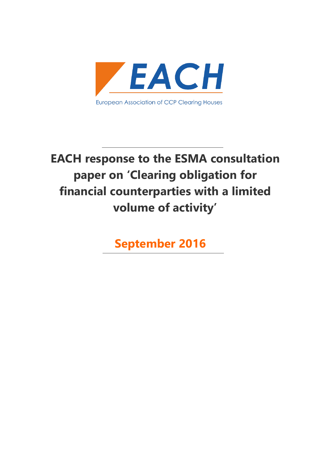

# **EACH response to the ESMA consultation paper on 'Clearing obligation for financial counterparties with a limited volume of activity'**

**September 2016**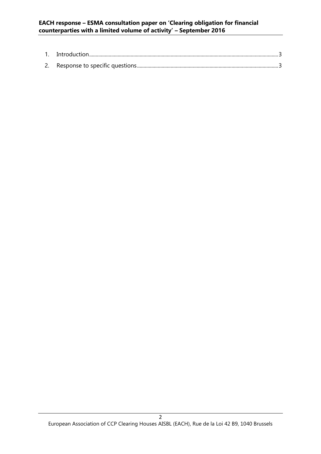### **EACH response – ESMA consultation paper on 'Clearing obligation for financial counterparties with a limited volume of activity' – September 2016**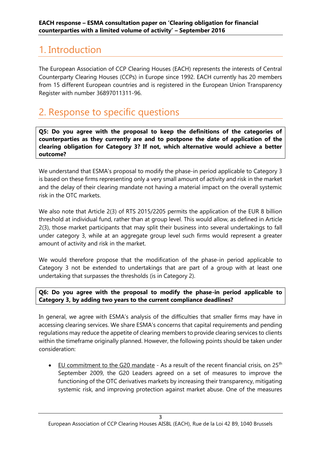## <span id="page-2-0"></span>1. Introduction

The European Association of CCP Clearing Houses (EACH) represents the interests of Central Counterparty Clearing Houses (CCPs) in Europe since 1992. EACH currently has 20 members from 15 different European countries and is registered in the European Union Transparency Register with number 36897011311-96.

### <span id="page-2-1"></span>2. Response to specific questions

**Q5: Do you agree with the proposal to keep the definitions of the categories of counterparties as they currently are and to postpone the date of application of the clearing obligation for Category 3? If not, which alternative would achieve a better outcome?**

We understand that ESMA's proposal to modify the phase-in period applicable to Category 3 is based on these firms representing only a very small amount of activity and risk in the market and the delay of their clearing mandate not having a material impact on the overall systemic risk in the OTC markets.

We also note that Article 2(3) of RTS 2015/2205 permits the application of the EUR 8 billion threshold at individual fund, rather than at group level. This would allow, as defined in Article 2(3), those market participants that may split their business into several undertakings to fall under category 3, while at an aggregate group level such firms would represent a greater amount of activity and risk in the market.

We would therefore propose that the modification of the phase-in period applicable to Category 3 not be extended to undertakings that are part of a group with at least one undertaking that surpasses the thresholds (is in Category 2).

#### **Q6: Do you agree with the proposal to modify the phase-in period applicable to Category 3, by adding two years to the current compliance deadlines?**

In general, we agree with ESMA's analysis of the difficulties that smaller firms may have in accessing clearing services. We share ESMA's concerns that capital requirements and pending regulations may reduce the appetite of clearing members to provide clearing services to clients within the timeframe originally planned. However, the following points should be taken under consideration:

EU commitment to the G20 mandate - As a result of the recent financial crisis, on  $25<sup>th</sup>$ September 2009, the G20 Leaders agreed on a set of measures to improve the functioning of the OTC derivatives markets by increasing their transparency, mitigating systemic risk, and improving protection against market abuse. One of the measures